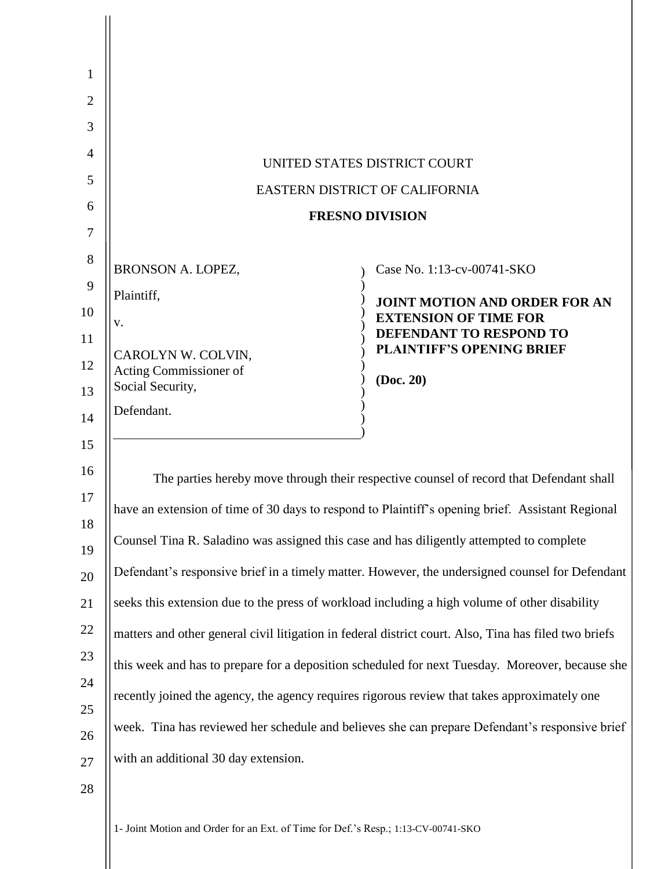1- Joint Motion and Order for an Ext. of Time for Def.'s Resp.; 1:13-CV-00741-SKO